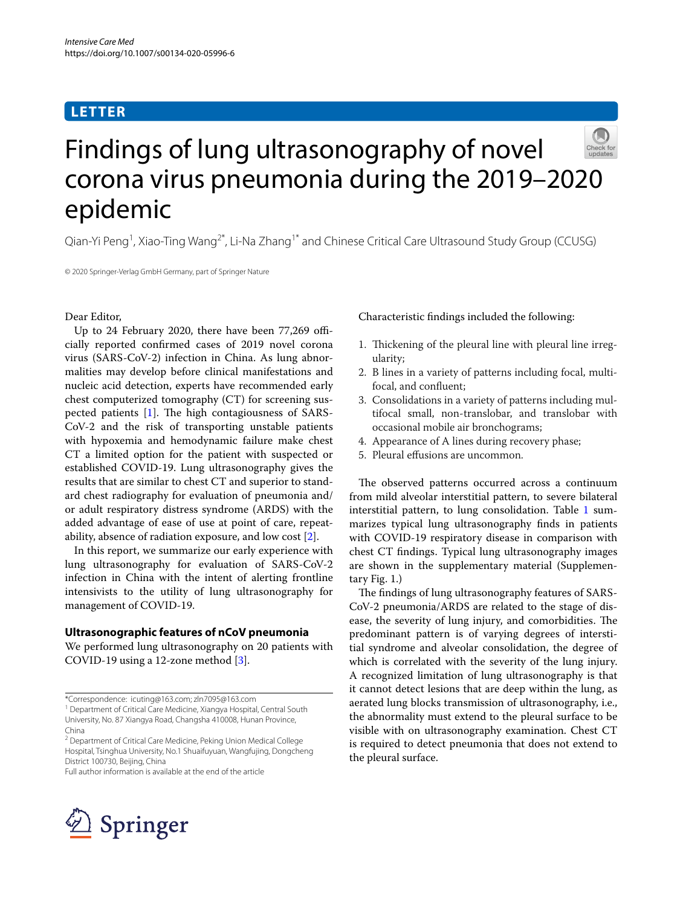## **LETTER**



# Findings of lung ultrasonography of novel corona virus pneumonia during the 2019–2020 epidemic

Qian-Yi Peng<sup>1</sup>, Xiao-Ting Wang<sup>2\*</sup>, Li-Na Zhang<sup>1\*</sup> and Chinese Critical Care Ultrasound Study Group (CCUSG)

© 2020 Springer-Verlag GmbH Germany, part of Springer Nature

## Dear Editor,

Up to 24 February 2020, there have been 77,269 officially reported confrmed cases of 2019 novel corona virus (SARS-CoV-2) infection in China. As lung abnormalities may develop before clinical manifestations and nucleic acid detection, experts have recommended early chest computerized tomography (CT) for screening suspected patients  $[1]$  $[1]$ . The high contagiousness of SARS-CoV-2 and the risk of transporting unstable patients with hypoxemia and hemodynamic failure make chest CT a limited option for the patient with suspected or established COVID-19. Lung ultrasonography gives the results that are similar to chest CT and superior to standard chest radiography for evaluation of pneumonia and/ or adult respiratory distress syndrome (ARDS) with the added advantage of ease of use at point of care, repeatability, absence of radiation exposure, and low cost [\[2\]](#page-1-1).

In this report, we summarize our early experience with lung ultrasonography for evaluation of SARS-CoV-2 infection in China with the intent of alerting frontline intensivists to the utility of lung ultrasonography for management of COVID-19.

## **Ultrasonographic features of nCoV pneumonia**

We performed lung ultrasonography on 20 patients with COVID-19 using a 12-zone method [[3\]](#page-1-2).

Full author information is available at the end of the article



## Characteristic fndings included the following:

- 1. Thickening of the pleural line with pleural line irregularity;
- 2. B lines in a variety of patterns including focal, multifocal, and confuent;
- 3. Consolidations in a variety of patterns including multifocal small, non-translobar, and translobar with occasional mobile air bronchograms;
- 4. Appearance of A lines during recovery phase;
- 5. Pleural efusions are uncommon.

The observed patterns occurred across a continuum from mild alveolar interstitial pattern, to severe bilateral interstitial pattern, to lung consolidation. Table [1](#page-1-3) summarizes typical lung ultrasonography fnds in patients with COVID-19 respiratory disease in comparison with chest CT fndings. Typical lung ultrasonography images are shown in the supplementary material (Supplementary Fig. 1.)

The findings of lung ultrasonography features of SARS-CoV-2 pneumonia/ARDS are related to the stage of disease, the severity of lung injury, and comorbidities. The predominant pattern is of varying degrees of interstitial syndrome and alveolar consolidation, the degree of which is correlated with the severity of the lung injury. A recognized limitation of lung ultrasonography is that it cannot detect lesions that are deep within the lung, as aerated lung blocks transmission of ultrasonography, i.e., the abnormality must extend to the pleural surface to be visible with on ultrasonography examination. Chest CT is required to detect pneumonia that does not extend to the pleural surface.

<sup>\*</sup>Correspondence: icuting@163.com; zln7095@163.com

<sup>&</sup>lt;sup>1</sup> Department of Critical Care Medicine, Xiangya Hospital, Central South University, No. 87 Xiangya Road, Changsha 410008, Hunan Province, China

<sup>&</sup>lt;sup>2</sup> Department of Critical Care Medicine, Peking Union Medical College Hospital, Tsinghua University, No.1 Shuaifuyuan, Wangfujing, Dongcheng District 100730, Beijing, China